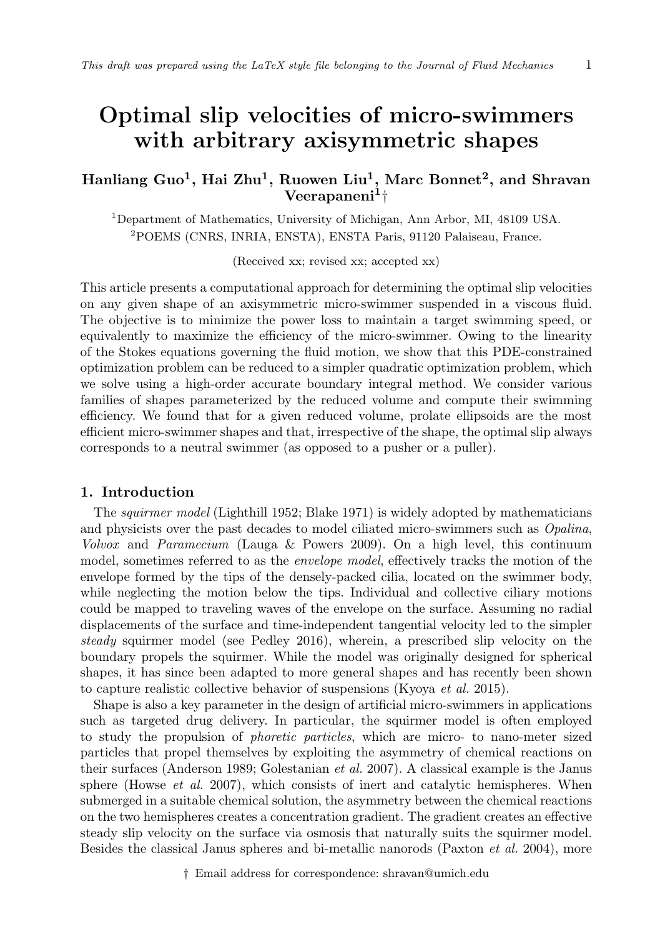# Optimal slip velocities of micro-swimmers with arbitrary axisymmetric shapes

# Hanliang Guo $^1$ , Hai Zhu $^1$ , Ruowen Liu $^1$ , Marc Bonnet $^2$ , and Shravan  $\rm{Veerapaneni^1\dagger}$

<sup>1</sup>Department of Mathematics, University of Michigan, Ann Arbor, MI, 48109 USA. <sup>2</sup>POEMS (CNRS, INRIA, ENSTA), ENSTA Paris, 91120 Palaiseau, France.

(Received xx; revised xx; accepted xx)

This article presents a computational approach for determining the optimal slip velocities on any given shape of an axisymmetric micro-swimmer suspended in a viscous fluid. The objective is to minimize the power loss to maintain a target swimming speed, or equivalently to maximize the efficiency of the micro-swimmer. Owing to the linearity of the Stokes equations governing the fluid motion, we show that this PDE-constrained optimization problem can be reduced to a simpler quadratic optimization problem, which we solve using a high-order accurate boundary integral method. We consider various families of shapes parameterized by the reduced volume and compute their swimming efficiency. We found that for a given reduced volume, prolate ellipsoids are the most efficient micro-swimmer shapes and that, irrespective of the shape, the optimal slip always corresponds to a neutral swimmer (as opposed to a pusher or a puller).

#### 1. Introduction

The squirmer model (Lighthill 1952; Blake 1971) is widely adopted by mathematicians and physicists over the past decades to model ciliated micro-swimmers such as Opalina, Volvox and Paramecium (Lauga & Powers 2009). On a high level, this continuum model, sometimes referred to as the *envelope model*, effectively tracks the motion of the envelope formed by the tips of the densely-packed cilia, located on the swimmer body, while neglecting the motion below the tips. Individual and collective ciliary motions could be mapped to traveling waves of the envelope on the surface. Assuming no radial displacements of the surface and time-independent tangential velocity led to the simpler steady squirmer model (see Pedley 2016), wherein, a prescribed slip velocity on the boundary propels the squirmer. While the model was originally designed for spherical shapes, it has since been adapted to more general shapes and has recently been shown to capture realistic collective behavior of suspensions (Kyoya et al. 2015).

Shape is also a key parameter in the design of artificial micro-swimmers in applications such as targeted drug delivery. In particular, the squirmer model is often employed to study the propulsion of phoretic particles, which are micro- to nano-meter sized particles that propel themselves by exploiting the asymmetry of chemical reactions on their surfaces (Anderson 1989; Golestanian et al. 2007). A classical example is the Janus sphere (Howse  $et \ al. 2007$ ), which consists of inert and catalytic hemispheres. When submerged in a suitable chemical solution, the asymmetry between the chemical reactions on the two hemispheres creates a concentration gradient. The gradient creates an effective steady slip velocity on the surface via osmosis that naturally suits the squirmer model. Besides the classical Janus spheres and bi-metallic nanorods (Paxton et al. 2004), more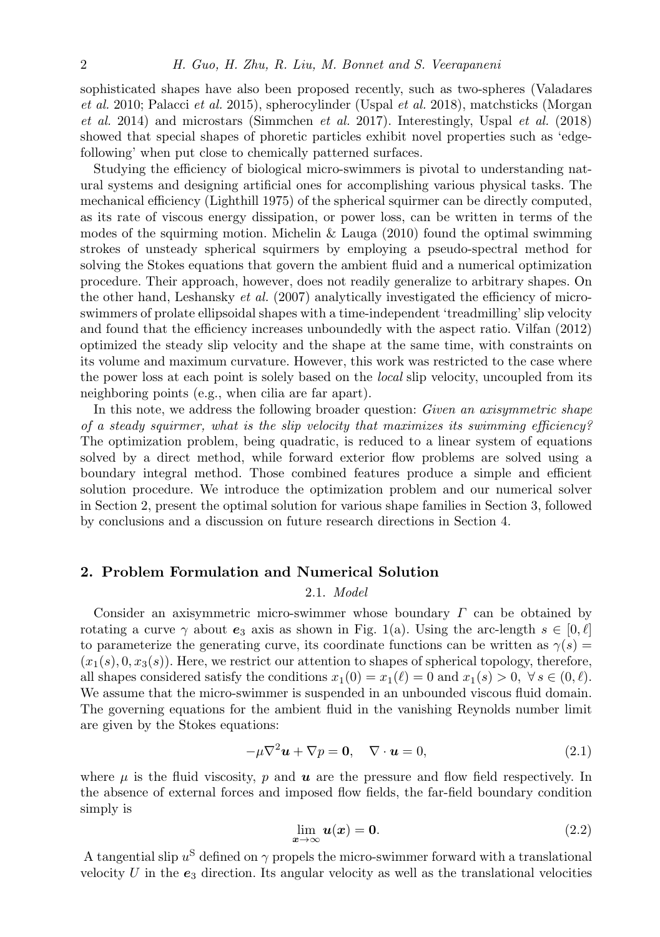sophisticated shapes have also been proposed recently, such as two-spheres (Valadares et al. 2010; Palacci et al. 2015), spherocylinder (Uspal et al. 2018), matchsticks (Morgan  $et \ al. 2014$ ) and microstars (Simmchen  $et \ al. 2017$ ). Interestingly, Uspal  $et \ al. (2018)$ showed that special shapes of phoretic particles exhibit novel properties such as 'edgefollowing' when put close to chemically patterned surfaces.

Studying the efficiency of biological micro-swimmers is pivotal to understanding natural systems and designing artificial ones for accomplishing various physical tasks. The mechanical efficiency (Lighthill 1975) of the spherical squirmer can be directly computed, as its rate of viscous energy dissipation, or power loss, can be written in terms of the modes of the squirming motion. Michelin & Lauga  $(2010)$  found the optimal swimming strokes of unsteady spherical squirmers by employing a pseudo-spectral method for solving the Stokes equations that govern the ambient fluid and a numerical optimization procedure. Their approach, however, does not readily generalize to arbitrary shapes. On the other hand, Leshansky  $et \ al.$  (2007) analytically investigated the efficiency of microswimmers of prolate ellipsoidal shapes with a time-independent 'treadmilling' slip velocity and found that the efficiency increases unboundedly with the aspect ratio. Vilfan (2012) optimized the steady slip velocity and the shape at the same time, with constraints on its volume and maximum curvature. However, this work was restricted to the case where the power loss at each point is solely based on the local slip velocity, uncoupled from its neighboring points (e.g., when cilia are far apart).

In this note, we address the following broader question: Given an axisymmetric shape of a steady squirmer, what is the slip velocity that maximizes its swimming efficiency? The optimization problem, being quadratic, is reduced to a linear system of equations solved by a direct method, while forward exterior flow problems are solved using a boundary integral method. Those combined features produce a simple and efficient solution procedure. We introduce the optimization problem and our numerical solver in Section 2, present the optimal solution for various shape families in Section 3, followed by conclusions and a discussion on future research directions in Section 4.

### 2. Problem Formulation and Numerical Solution

#### 2.1. Model

Consider an axisymmetric micro-swimmer whose boundary  $\Gamma$  can be obtained by rotating a curve  $\gamma$  about  $e_3$  axis as shown in Fig. 1(a). Using the arc-length  $s \in [0, \ell]$ to parameterize the generating curve, its coordinate functions can be written as  $\gamma(s)$  =  $(x_1(s), 0, x_3(s))$ . Here, we restrict our attention to shapes of spherical topology, therefore, all shapes considered satisfy the conditions  $x_1(0) = x_1(\ell) = 0$  and  $x_1(s) > 0$ ,  $\forall s \in (0, \ell)$ . We assume that the micro-swimmer is suspended in an unbounded viscous fluid domain. The governing equations for the ambient fluid in the vanishing Reynolds number limit are given by the Stokes equations:

$$
-\mu \nabla^2 \mathbf{u} + \nabla p = \mathbf{0}, \quad \nabla \cdot \mathbf{u} = 0,
$$
\n(2.1)

where  $\mu$  is the fluid viscosity, p and  $\boldsymbol{u}$  are the pressure and flow field respectively. In the absence of external forces and imposed flow fields, the far-field boundary condition simply is

$$
\lim_{x \to \infty} u(x) = 0. \tag{2.2}
$$

A tangential slip  $u^S$  defined on  $\gamma$  propels the micro-swimmer forward with a translational velocity  $U$  in the  $e_3$  direction. Its angular velocity as well as the translational velocities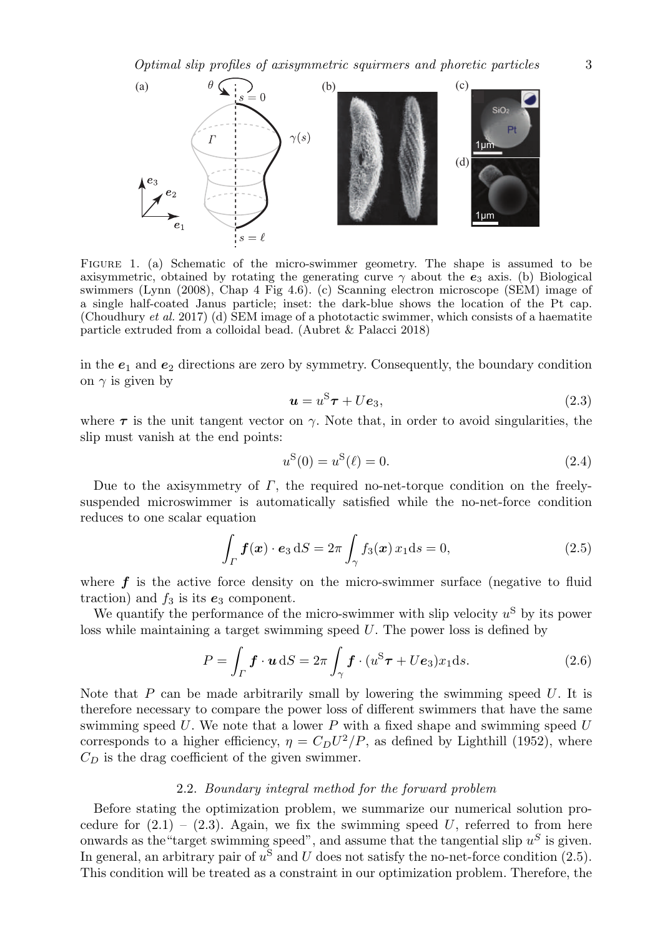

Figure 1. (a) Schematic of the micro-swimmer geometry. The shape is assumed to be axisymmetric, obtained by rotating the generating curve  $\gamma$  about the  $e_3$  axis. (b) Biological swimmers (Lynn (2008), Chap 4 Fig 4.6). (c) Scanning electron microscope (SEM) image of a single half-coated Janus particle; inset: the dark-blue shows the location of the Pt cap. (Choudhury et al. 2017) (d) SEM image of a phototactic swimmer, which consists of a haematite particle extruded from a colloidal bead. (Aubret & Palacci 2018)

in the  $e_1$  and  $e_2$  directions are zero by symmetry. Consequently, the boundary condition on  $\gamma$  is given by

$$
\mathbf{u} = u^{\mathrm{S}} \boldsymbol{\tau} + U \boldsymbol{e}_3,\tag{2.3}
$$

where  $\tau$  is the unit tangent vector on  $\gamma$ . Note that, in order to avoid singularities, the slip must vanish at the end points:

$$
u^{\mathcal{S}}(0) = u^{\mathcal{S}}(\ell) = 0.
$$
\n(2.4)

Due to the axisymmetry of  $\Gamma$ , the required no-net-torque condition on the freelysuspended microswimmer is automatically satisfied while the no-net-force condition reduces to one scalar equation

$$
\int_{\Gamma} \mathbf{f}(\mathbf{x}) \cdot \mathbf{e}_3 \, \mathrm{d}S = 2\pi \int_{\gamma} f_3(\mathbf{x}) \, x_1 \mathrm{d}s = 0,\tag{2.5}
$$

where  $f$  is the active force density on the micro-swimmer surface (negative to fluid traction) and  $f_3$  is its  $e_3$  component.

We quantify the performance of the micro-swimmer with slip velocity  $u^{\rm S}$  by its power loss while maintaining a target swimming speed U. The power loss is defined by

$$
P = \int_{\Gamma} \boldsymbol{f} \cdot \boldsymbol{u} \, \mathrm{d}S = 2\pi \int_{\gamma} \boldsymbol{f} \cdot (u^{\mathrm{S}} \boldsymbol{\tau} + U \boldsymbol{e}_3) x_1 \mathrm{d}s. \tag{2.6}
$$

Note that  $P$  can be made arbitrarily small by lowering the swimming speed  $U$ . It is therefore necessary to compare the power loss of different swimmers that have the same swimming speed  $U$ . We note that a lower  $P$  with a fixed shape and swimming speed  $U$ corresponds to a higher efficiency,  $\eta = C_D U^2 / P$ , as defined by Lighthill (1952), where  $C_D$  is the drag coefficient of the given swimmer.

#### 2.2. Boundary integral method for the forward problem

Before stating the optimization problem, we summarize our numerical solution procedure for  $(2.1) - (2.3)$ . Again, we fix the swimming speed U, referred to from here onwards as the "target swimming speed", and assume that the tangential slip  $u^S$  is given. In general, an arbitrary pair of  $u^S$  and U does not satisfy the no-net-force condition (2.5). This condition will be treated as a constraint in our optimization problem. Therefore, the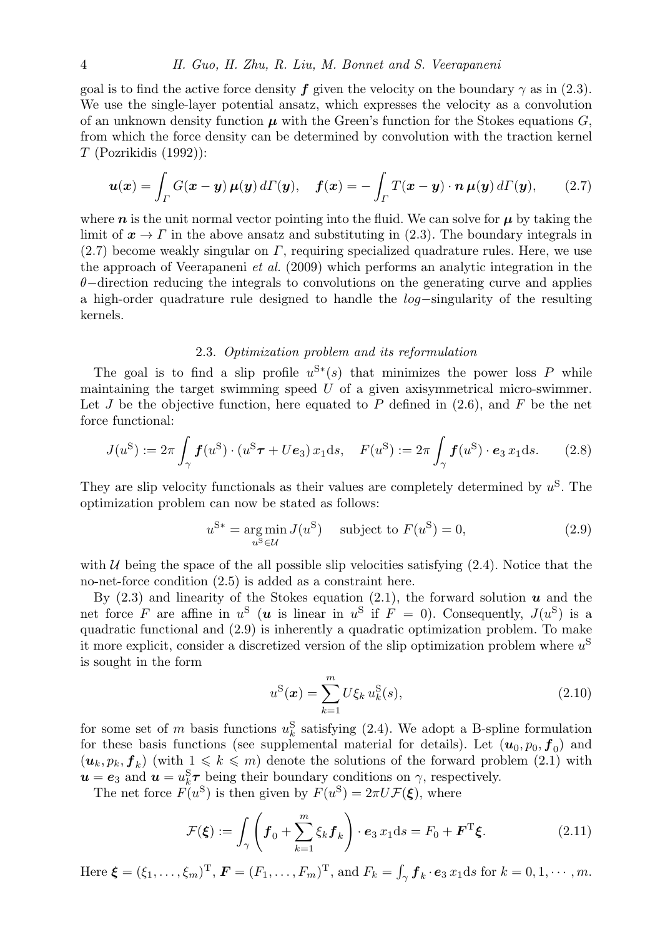#### 4 H. Guo, H. Zhu, R. Liu, M. Bonnet and S. Veerapaneni

goal is to find the active force density f given the velocity on the boundary  $\gamma$  as in (2.3). We use the single-layer potential ansatz, which expresses the velocity as a convolution of an unknown density function  $\mu$  with the Green's function for the Stokes equations  $G$ , from which the force density can be determined by convolution with the traction kernel  $T$  (Pozrikidis (1992)):

$$
\boldsymbol{u}(\boldsymbol{x}) = \int_{\Gamma} G(\boldsymbol{x} - \boldsymbol{y}) \,\boldsymbol{\mu}(\boldsymbol{y}) \, d\Gamma(\boldsymbol{y}), \quad \boldsymbol{f}(\boldsymbol{x}) = -\int_{\Gamma} T(\boldsymbol{x} - \boldsymbol{y}) \cdot \boldsymbol{n} \,\boldsymbol{\mu}(\boldsymbol{y}) \, d\Gamma(\boldsymbol{y}), \qquad (2.7)
$$

where  $n$  is the unit normal vector pointing into the fluid. We can solve for  $\mu$  by taking the limit of  $x \to \Gamma$  in the above ansatz and substituting in (2.3). The boundary integrals in  $(2.7)$  become weakly singular on  $\Gamma$ , requiring specialized quadrature rules. Here, we use the approach of Veerapaneni et al. (2009) which performs an analytic integration in the  $\theta$ −direction reducing the integrals to convolutions on the generating curve and applies a high-order quadrature rule designed to handle the log−singularity of the resulting kernels.

## 2.3. Optimization problem and its reformulation

The goal is to find a slip profile  $u^{S*}(s)$  that minimizes the power loss P while maintaining the target swimming speed  $U$  of a given axisymmetrical micro-swimmer. Let  $J$  be the objective function, here equated to  $P$  defined in (2.6), and  $F$  be the net force functional:

$$
J(u^{\rm S}) := 2\pi \int_{\gamma} f(u^{\rm S}) \cdot (u^{\rm S} \tau + Ue_3) x_1 \, ds, \quad F(u^{\rm S}) := 2\pi \int_{\gamma} f(u^{\rm S}) \cdot e_3 x_1 \, ds. \tag{2.8}
$$

They are slip velocity functionals as their values are completely determined by  $u^S$ . The optimization problem can now be stated as follows:

$$
u^{\mathbf{S}*} = \underset{u^{\mathbf{S}} \in \mathcal{U}}{\arg \min} \, J(u^{\mathbf{S}}) \quad \text{subject to } F(u^{\mathbf{S}}) = 0,\tag{2.9}
$$

with U being the space of the all possible slip velocities satisfying  $(2.4)$ . Notice that the no-net-force condition (2.5) is added as a constraint here.

By  $(2.3)$  and linearity of the Stokes equation  $(2.1)$ , the forward solution u and the net force F are affine in  $u^S$  (*u* is linear in  $u^S$  if  $F = 0$ ). Consequently,  $J(u^S)$  is a quadratic functional and (2.9) is inherently a quadratic optimization problem. To make it more explicit, consider a discretized version of the slip optimization problem where  $u^{\rm S}$ is sought in the form

$$
u^{\rm S}(\boldsymbol{x}) = \sum_{k=1}^{m} U \xi_k \, u_k^{\rm S}(s),\tag{2.10}
$$

for some set of m basis functions  $u_k^S$  satisfying (2.4). We adopt a B-spline formulation for these basis functions (see supplemental material for details). Let  $(u_0, p_0, f_0)$  and  $(\boldsymbol{u}_k, p_k, \boldsymbol{f}_k)$  (with  $1 \leq k \leq m$ ) denote the solutions of the forward problem (2.1) with  $u = e_3$  and  $u = u_k^{\rm S}\tau$  being their boundary conditions on  $\gamma$ , respectively.

The net force  $F(u^{\rm S})$  is then given by  $F(u^{\rm S}) = 2\pi U \mathcal{F}(\xi)$ , where

$$
\mathcal{F}(\boldsymbol{\xi}) := \int_{\gamma} \left( \boldsymbol{f}_0 + \sum_{k=1}^m \xi_k \boldsymbol{f}_k \right) \cdot \boldsymbol{e}_3 \, x_1 \mathrm{d}s = F_0 + \boldsymbol{F}^{\mathrm{T}} \boldsymbol{\xi}.
$$
 (2.11)

Here  $\boldsymbol{\xi} = (\xi_1, \ldots, \xi_m)^{\mathrm{T}}$ ,  $\boldsymbol{F} = (F_1, \ldots, F_m)^{\mathrm{T}}$ , and  $F_k = \int_{\gamma} \boldsymbol{f}_k \cdot \boldsymbol{e}_3 x_1 \mathrm{d}s$  for  $k = 0, 1, \cdots, m$ .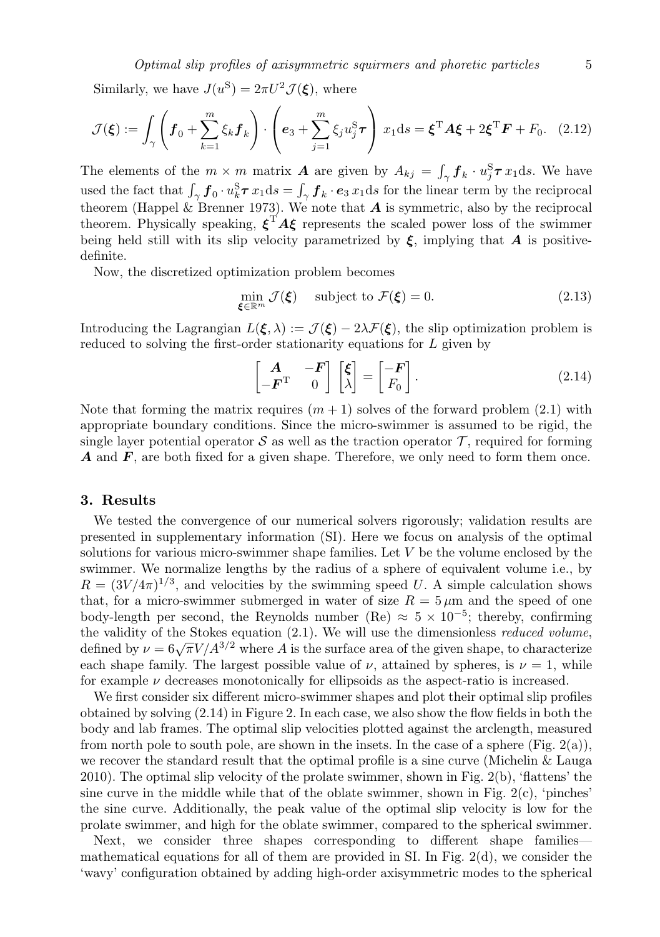Similarly, we have  $J(u^{\rm S}) = 2\pi U^2 \mathcal{J}(\boldsymbol{\xi})$ , where

$$
\mathcal{J}(\boldsymbol{\xi}) := \int_{\gamma} \left( \boldsymbol{f}_0 + \sum_{k=1}^m \xi_k \boldsymbol{f}_k \right) \cdot \left( \boldsymbol{e}_3 + \sum_{j=1}^m \xi_j u_j^S \boldsymbol{\tau} \right) x_1 \mathrm{d}s = \boldsymbol{\xi}^{\mathrm{T}} \boldsymbol{A} \boldsymbol{\xi} + 2 \boldsymbol{\xi}^{\mathrm{T}} \boldsymbol{F} + F_0. \quad (2.12)
$$

The elements of the  $m \times m$  matrix **A** are given by  $A_{kj} = \int_{\gamma} \mathbf{f}_k \cdot u_j^{\mathbf{S}} \boldsymbol{\tau} x_1 ds$ . We have used the fact that  $\int_{\gamma} f_0 \cdot u_k^{\rm S} \boldsymbol{\tau} x_1 ds = \int_{\gamma} f_k \cdot \boldsymbol{e}_3 x_1 ds$  for the linear term by the reciprocal theorem (Happel & Brenner 1973). We note that  $A$  is symmetric, also by the reciprocal theorem. Physically speaking,  $\xi^T A \xi$  represents the scaled power loss of the swimmer being held still with its slip velocity parametrized by  $\xi$ , implying that A is positivedefinite.

Now, the discretized optimization problem becomes

$$
\min_{\boldsymbol{\xi} \in \mathbb{R}^m} \mathcal{J}(\boldsymbol{\xi}) \quad \text{subject to } \mathcal{F}(\boldsymbol{\xi}) = 0. \tag{2.13}
$$

Introducing the Lagrangian  $L(\xi, \lambda) := \mathcal{J}(\xi) - 2\lambda \mathcal{F}(\xi)$ , the slip optimization problem is reduced to solving the first-order stationarity equations for L given by

$$
\begin{bmatrix} \mathbf{A} & -\mathbf{F} \\ -\mathbf{F}^{\mathrm{T}} & 0 \end{bmatrix} \begin{bmatrix} \xi \\ \lambda \end{bmatrix} = \begin{bmatrix} -\mathbf{F} \\ F_0 \end{bmatrix} . \tag{2.14}
$$

Note that forming the matrix requires  $(m + 1)$  solves of the forward problem  $(2.1)$  with appropriate boundary conditions. Since the micro-swimmer is assumed to be rigid, the single layer potential operator S as well as the traction operator  $\mathcal T$ , required for forming  $\boldsymbol{A}$  and  $\boldsymbol{F}$ , are both fixed for a given shape. Therefore, we only need to form them once.

#### 3. Results

We tested the convergence of our numerical solvers rigorously; validation results are presented in supplementary information (SI). Here we focus on analysis of the optimal solutions for various micro-swimmer shape families. Let  $V$  be the volume enclosed by the swimmer. We normalize lengths by the radius of a sphere of equivalent volume i.e., by  $R = (3V/4\pi)^{1/3}$ , and velocities by the swimming speed U. A simple calculation shows that, for a micro-swimmer submerged in water of size  $R = 5 \mu m$  and the speed of one body-length per second, the Reynolds number (Re)  $\approx 5 \times 10^{-5}$ ; thereby, confirming the validity of the Stokes equation  $(2.1)$ . We will use the dimensionless *reduced volume*, defined by  $\nu = 6\sqrt{\pi V/A^{3/2}}$  where A is the surface area of the given shape, to characterize each shape family. The largest possible value of  $\nu$ , attained by spheres, is  $\nu = 1$ , while for example  $\nu$  decreases monotonically for ellipsoids as the aspect-ratio is increased.

We first consider six different micro-swimmer shapes and plot their optimal slip profiles obtained by solving (2.14) in Figure 2. In each case, we also show the flow fields in both the body and lab frames. The optimal slip velocities plotted against the arclength, measured from north pole to south pole, are shown in the insets. In the case of a sphere (Fig. 2(a)), we recover the standard result that the optimal profile is a sine curve (Michelin & Lauga 2010). The optimal slip velocity of the prolate swimmer, shown in Fig. 2(b), 'flattens' the sine curve in the middle while that of the oblate swimmer, shown in Fig.  $2(c)$ , 'pinches' the sine curve. Additionally, the peak value of the optimal slip velocity is low for the prolate swimmer, and high for the oblate swimmer, compared to the spherical swimmer.

Next, we consider three shapes corresponding to different shape families mathematical equations for all of them are provided in SI. In Fig. 2(d), we consider the 'wavy' configuration obtained by adding high-order axisymmetric modes to the spherical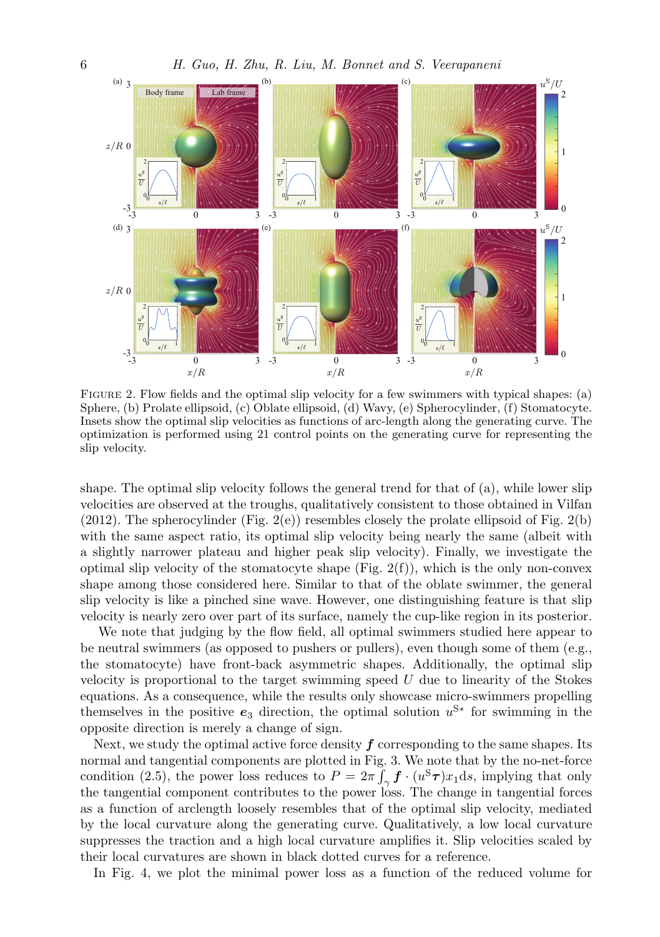

FIGURE 2. Flow fields and the optimal slip velocity for a few swimmers with typical shapes: (a) Sphere, (b) Prolate ellipsoid, (c) Oblate ellipsoid, (d) Wavy, (e) Spherocylinder, (f) Stomatocyte. Insets show the optimal slip velocities as functions of arc-length along the generating curve. The optimization is performed using 21 control points on the generating curve for representing the slip velocity.

shape. The optimal slip velocity follows the general trend for that of (a), while lower slip velocities are observed at the troughs, qualitatively consistent to those obtained in Vilfan (2012). The spherocylinder (Fig.  $2(e)$ ) resembles closely the prolate ellipsoid of Fig.  $2(b)$ with the same aspect ratio, its optimal slip velocity being nearly the same (albeit with a slightly narrower plateau and higher peak slip velocity). Finally, we investigate the optimal slip velocity of the stomatocyte shape (Fig.  $2(f)$ ), which is the only non-convex shape among those considered here. Similar to that of the oblate swimmer, the general slip velocity is like a pinched sine wave. However, one distinguishing feature is that slip velocity is nearly zero over part of its surface, namely the cup-like region in its posterior.

We note that judging by the flow field, all optimal swimmers studied here appear to be neutral swimmers (as opposed to pushers or pullers), even though some of them (e.g., the stomatocyte) have front-back asymmetric shapes. Additionally, the optimal slip velocity is proportional to the target swimming speed  $U$  due to linearity of the Stokes equations. As a consequence, while the results only showcase micro-swimmers propelling themselves in the positive  $e_3$  direction, the optimal solution  $u^{S*}$  for swimming in the opposite direction is merely a change of sign.

Next, we study the optimal active force density  $f$  corresponding to the same shapes. Its normal and tangential components are plotted in Fig. 3. We note that by the no-net-force condition (2.5), the power loss reduces to  $P = 2\pi \int_{\gamma} \boldsymbol{f} \cdot (u^{\rm S} \boldsymbol{\tau}) x_1 \mathrm{d}s$ , implying that only the tangential component contributes to the power loss. The change in tangential forces as a function of arclength loosely resembles that of the optimal slip velocity, mediated by the local curvature along the generating curve. Qualitatively, a low local curvature suppresses the traction and a high local curvature amplifies it. Slip velocities scaled by their local curvatures are shown in black dotted curves for a reference.

In Fig. 4, we plot the minimal power loss as a function of the reduced volume for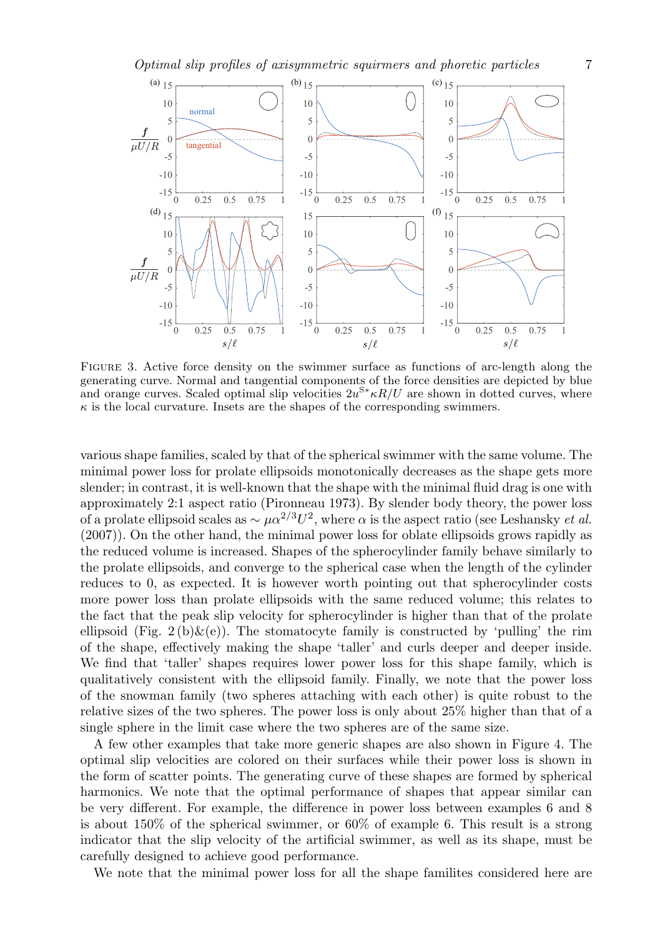Optimal slip profiles of axisymmetric squirmers and phoretic particles 7



Figure 3. Active force density on the swimmer surface as functions of arc-length along the generating curve. Normal and tangential components of the force densities are depicted by blue and orange curves. Scaled optimal slip velocities  $2u^{S*}\kappa R/U$  are shown in dotted curves, where  $\kappa$  is the local curvature. Insets are the shapes of the corresponding swimmers.

various shape families, scaled by that of the spherical swimmer with the same volume. The minimal power loss for prolate ellipsoids monotonically decreases as the shape gets more slender; in contrast, it is well-known that the shape with the minimal fluid drag is one with approximately 2:1 aspect ratio (Pironneau 1973). By slender body theory, the power loss of a prolate ellipsoid scales as  $\sim \mu \alpha^{2/3} U^2$ , where  $\alpha$  is the aspect ratio (see Leshansky *et al.*) (2007)). On the other hand, the minimal power loss for oblate ellipsoids grows rapidly as the reduced volume is increased. Shapes of the spherocylinder family behave similarly to the prolate ellipsoids, and converge to the spherical case when the length of the cylinder reduces to 0, as expected. It is however worth pointing out that spherocylinder costs more power loss than prolate ellipsoids with the same reduced volume; this relates to the fact that the peak slip velocity for spherocylinder is higher than that of the prolate ellipsoid (Fig. 2(b) $\&$ (e)). The stomatocyte family is constructed by 'pulling' the rim of the shape, effectively making the shape 'taller' and curls deeper and deeper inside. We find that 'taller' shapes requires lower power loss for this shape family, which is qualitatively consistent with the ellipsoid family. Finally, we note that the power loss of the snowman family (two spheres attaching with each other) is quite robust to the relative sizes of the two spheres. The power loss is only about 25% higher than that of a single sphere in the limit case where the two spheres are of the same size.

A few other examples that take more generic shapes are also shown in Figure 4. The optimal slip velocities are colored on their surfaces while their power loss is shown in the form of scatter points. The generating curve of these shapes are formed by spherical harmonics. We note that the optimal performance of shapes that appear similar can be very different. For example, the difference in power loss between examples 6 and 8 is about 150% of the spherical swimmer, or 60% of example 6. This result is a strong indicator that the slip velocity of the artificial swimmer, as well as its shape, must be carefully designed to achieve good performance.

We note that the minimal power loss for all the shape familites considered here are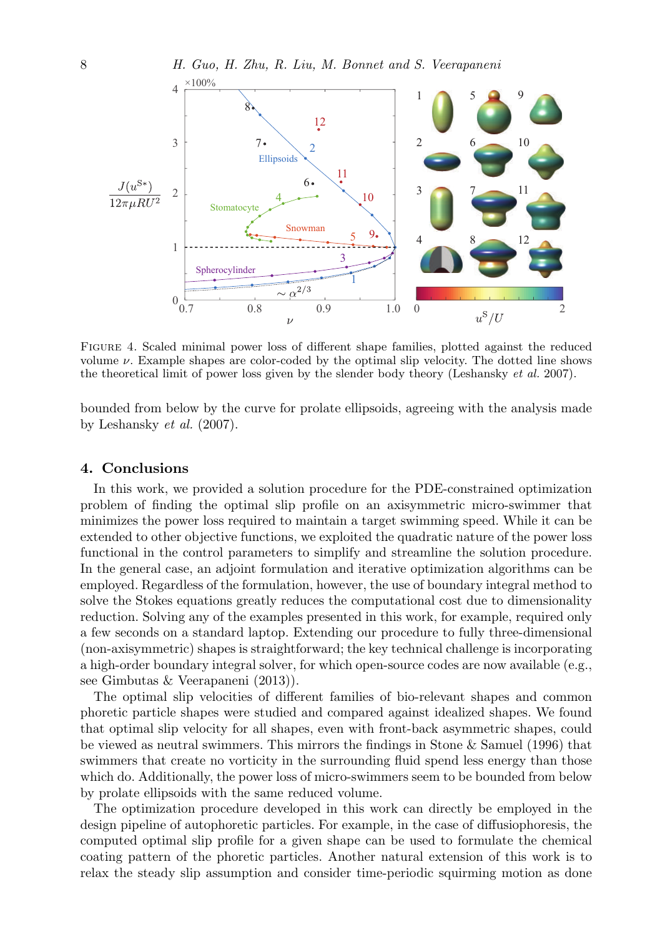

Figure 4. Scaled minimal power loss of different shape families, plotted against the reduced volume  $\nu$ . Example shapes are color-coded by the optimal slip velocity. The dotted line shows the theoretical limit of power loss given by the slender body theory (Leshansky et al. 2007).

bounded from below by the curve for prolate ellipsoids, agreeing with the analysis made by Leshansky et al. (2007).

#### 4. Conclusions

In this work, we provided a solution procedure for the PDE-constrained optimization problem of finding the optimal slip profile on an axisymmetric micro-swimmer that minimizes the power loss required to maintain a target swimming speed. While it can be extended to other objective functions, we exploited the quadratic nature of the power loss functional in the control parameters to simplify and streamline the solution procedure. In the general case, an adjoint formulation and iterative optimization algorithms can be employed. Regardless of the formulation, however, the use of boundary integral method to solve the Stokes equations greatly reduces the computational cost due to dimensionality reduction. Solving any of the examples presented in this work, for example, required only a few seconds on a standard laptop. Extending our procedure to fully three-dimensional (non-axisymmetric) shapes is straightforward; the key technical challenge is incorporating a high-order boundary integral solver, for which open-source codes are now available (e.g., see Gimbutas & Veerapaneni (2013)).

The optimal slip velocities of different families of bio-relevant shapes and common phoretic particle shapes were studied and compared against idealized shapes. We found that optimal slip velocity for all shapes, even with front-back asymmetric shapes, could be viewed as neutral swimmers. This mirrors the findings in Stone & Samuel (1996) that swimmers that create no vorticity in the surrounding fluid spend less energy than those which do. Additionally, the power loss of micro-swimmers seem to be bounded from below by prolate ellipsoids with the same reduced volume.

The optimization procedure developed in this work can directly be employed in the design pipeline of autophoretic particles. For example, in the case of diffusiophoresis, the computed optimal slip profile for a given shape can be used to formulate the chemical coating pattern of the phoretic particles. Another natural extension of this work is to relax the steady slip assumption and consider time-periodic squirming motion as done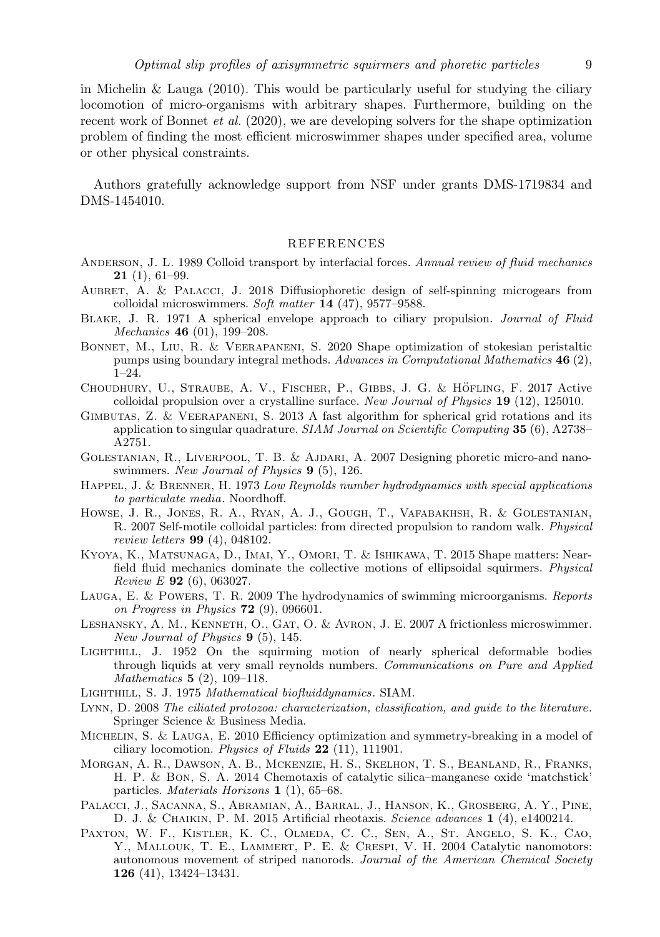in Michelin & Lauga  $(2010)$ . This would be particularly useful for studying the ciliary locomotion of micro-organisms with arbitrary shapes. Furthermore, building on the recent work of Bonnet et al. (2020), we are developing solvers for the shape optimization problem of finding the most efficient microswimmer shapes under specified area, volume or other physical constraints.

Authors gratefully acknowledge support from NSF under grants DMS-1719834 and DMS-1454010.

#### REFERENCES

- ANDERSON, J. L. 1989 Colloid transport by interfacial forces. Annual review of fluid mechanics  $21(1), 61-99.$
- AUBRET, A. & PALACCI, J. 2018 Diffusiophoretic design of self-spinning microgears from colloidal microswimmers. Soft matter 14 (47), 9577–9588.
- Blake, J. R. 1971 A spherical envelope approach to ciliary propulsion. Journal of Fluid Mechanics 46 (01), 199–208.
- Bonnet, M., Liu, R. & Veerapaneni, S. 2020 Shape optimization of stokesian peristaltic pumps using boundary integral methods. Advances in Computational Mathematics 46 (2), 1–24.
- CHOUDHURY, U., STRAUBE, A. V., FISCHER, P., GIBBS, J. G. & HÖFLING, F. 2017 Active colloidal propulsion over a crystalline surface. New Journal of Physics 19 (12), 125010.
- Gimbutas, Z. & Veerapaneni, S. 2013 A fast algorithm for spherical grid rotations and its application to singular quadrature.  $SIAM\ Journal\ on\ Scientific\ Computing$  35 (6), A2738– A2751.
- Golestanian, R., Liverpool, T. B. & Ajdari, A. 2007 Designing phoretic micro-and nanoswimmers. New Journal of Physics 9 (5), 126.
- HAPPEL, J. & BRENNER, H. 1973 Low Reynolds number hydrodynamics with special applications to particulate media. Noordhoff.
- Howse, J. R., Jones, R. A., Ryan, A. J., Gough, T., Vafabakhsh, R. & Golestanian, R. 2007 Self-motile colloidal particles: from directed propulsion to random walk. Physical review letters 99 (4), 048102.
- Kyoya, K., Matsunaga, D., Imai, Y., Omori, T. & Ishikawa, T. 2015 Shape matters: Nearfield fluid mechanics dominate the collective motions of ellipsoidal squirmers. Physical Review E  $92(6)$ , 063027.
- Lauga, E. & Powers, T. R. 2009 The hydrodynamics of swimming microorganisms. Reports on Progress in Physics  $72$  (9), 096601.
- LESHANSKY, A. M., KENNETH, O., GAT, O. & AVRON, J. E. 2007 A frictionless microswimmer. New Journal of Physics  $9(5)$ , 145.
- Lighthill, J. 1952 On the squirming motion of nearly spherical deformable bodies through liquids at very small reynolds numbers. Communications on Pure and Applied Mathematics 5 (2), 109–118.
- Lighthill, S. J. 1975 Mathematical biofluiddynamics. SIAM.
- Lynn, D. 2008 The ciliated protozoa: characterization, classification, and guide to the literature. Springer Science & Business Media.
- Michelin, S. & Lauga, E. 2010 Efficiency optimization and symmetry-breaking in a model of ciliary locomotion. Physics of Fluids 22 (11), 111901.
- Morgan, A. R., Dawson, A. B., Mckenzie, H. S., Skelhon, T. S., Beanland, R., Franks, H. P. & Bon, S. A. 2014 Chemotaxis of catalytic silica–manganese oxide 'matchstick' particles. Materials Horizons 1 (1), 65–68.
- Palacci, J., Sacanna, S., Abramian, A., Barral, J., Hanson, K., Grosberg, A. Y., Pine, D. J. & Chaikin, P. M. 2015 Artificial rheotaxis. Science advances 1 (4), e1400214.
- Paxton, W. F., Kistler, K. C., Olmeda, C. C., Sen, A., St. Angelo, S. K., Cao, Y., Mallouk, T. E., Lammert, P. E. & Crespi, V. H. 2004 Catalytic nanomotors: autonomous movement of striped nanorods. Journal of the American Chemical Society 126 (41), 13424–13431.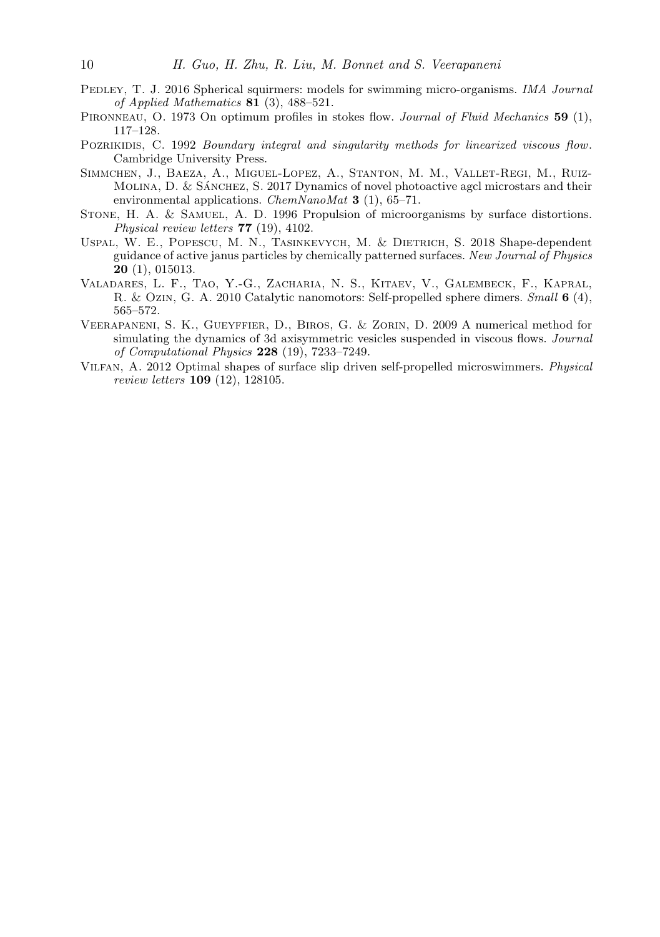- PEDLEY, T. J. 2016 Spherical squirmers: models for swimming micro-organisms. *IMA Journal* of Applied Mathematics 81 (3), 488–521.
- PIRONNEAU, O. 1973 On optimum profiles in stokes flow. Journal of Fluid Mechanics 59 (1), 117–128.
- POZRIKIDIS, C. 1992 Boundary integral and singularity methods for linearized viscous flow. Cambridge University Press.
- Simmchen, J., Baeza, A., Miguel-Lopez, A., Stanton, M. M., Vallet-Regi, M., Ruiz-MOLINA, D.  $&$  SÁNCHEZ, S. 2017 Dynamics of novel photoactive agcl microstars and their environmental applications. *ChemNanoMat* 3 (1),  $65-71$ .
- STONE, H. A. & SAMUEL, A. D. 1996 Propulsion of microorganisms by surface distortions. Physical review letters 77 (19), 4102.
- Uspal, W. E., Popescu, M. N., Tasinkevych, M. & Dietrich, S. 2018 Shape-dependent guidance of active janus particles by chemically patterned surfaces. New Journal of Physics 20 (1), 015013.
- Valadares, L. F., Tao, Y.-G., Zacharia, N. S., Kitaev, V., Galembeck, F., Kapral, R. & Ozin, G. A. 2010 Catalytic nanomotors: Self-propelled sphere dimers. Small 6 (4), 565–572.
- Veerapaneni, S. K., Gueyffier, D., Biros, G. & Zorin, D. 2009 A numerical method for simulating the dynamics of 3d axisymmetric vesicles suspended in viscous flows. Journal of Computational Physics 228 (19), 7233–7249.
- Vilfan, A. 2012 Optimal shapes of surface slip driven self-propelled microswimmers. Physical review letters 109 (12), 128105.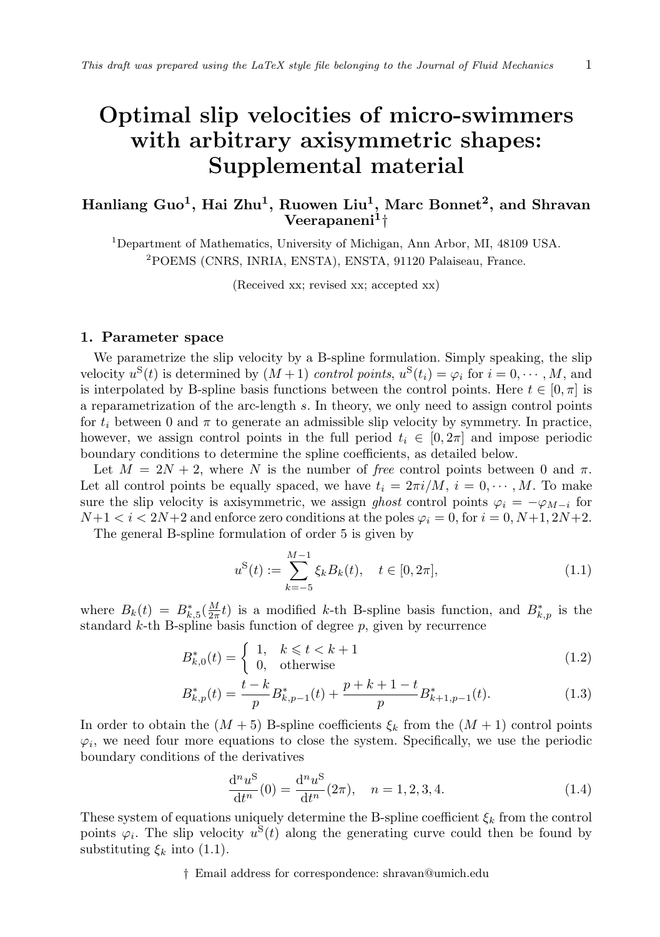# Optimal slip velocities of micro-swimmers with arbitrary axisymmetric shapes: Supplemental material

# Hanliang Guo $^1$ , Hai Zhu $^1$ , Ruowen Liu $^1$ , Marc Bonnet $^2$ , and Shravan  $\rm{Veerapaneni^1\dagger}$

<sup>1</sup>Department of Mathematics, University of Michigan, Ann Arbor, MI, 48109 USA. <sup>2</sup>POEMS (CNRS, INRIA, ENSTA), ENSTA, 91120 Palaiseau, France.

(Received xx; revised xx; accepted xx)

#### 1. Parameter space

We parametrize the slip velocity by a B-spline formulation. Simply speaking, the slip velocity  $u^{\mathcal{S}}(t)$  is determined by  $(M+1)$  control points,  $u^{\mathcal{S}}(t_i) = \varphi_i$  for  $i = 0, \dots, M$ , and is interpolated by B-spline basis functions between the control points. Here  $t \in [0, \pi]$  is a reparametrization of the arc-length s. In theory, we only need to assign control points for  $t_i$  between 0 and  $\pi$  to generate an admissible slip velocity by symmetry. In practice, however, we assign control points in the full period  $t_i \in [0, 2\pi]$  and impose periodic boundary conditions to determine the spline coefficients, as detailed below.

Let  $M = 2N + 2$ , where N is the number of free control points between 0 and  $\pi$ . Let all control points be equally spaced, we have  $t_i = 2\pi i/M$ ,  $i = 0, \dots, M$ . To make sure the slip velocity is axisymmetric, we assign ghost control points  $\varphi_i = -\varphi_{M-i}$  for  $N+1 < i < 2N+2$  and enforce zero conditions at the poles  $\varphi_i = 0$ , for  $i = 0, N+1, 2N+2$ .

The general B-spline formulation of order 5 is given by

$$
u^{S}(t) := \sum_{k=-5}^{M-1} \xi_k B_k(t), \quad t \in [0, 2\pi],
$$
\n(1.1)

where  $B_k(t) = B_{k,5}^*(\frac{M}{2\pi}t)$  is a modified k-th B-spline basis function, and  $B_{k,p}^*$  is the standard  $k$ -th B-spline basis function of degree  $p$ , given by recurrence

$$
B_{k,0}^*(t) = \begin{cases} 1, & k \leqslant t < k+1 \\ 0, & \text{otherwise} \end{cases} \tag{1.2}
$$

$$
B_{k,p}^*(t) = \frac{t-k}{p} B_{k,p-1}^*(t) + \frac{p+k+1-t}{p} B_{k+1,p-1}^*(t).
$$
 (1.3)

In order to obtain the  $(M + 5)$  B-spline coefficients  $\xi_k$  from the  $(M + 1)$  control points  $\varphi_i$ , we need four more equations to close the system. Specifically, we use the periodic boundary conditions of the derivatives

$$
\frac{d^n u^S}{dt^n}(0) = \frac{d^n u^S}{dt^n}(2\pi), \quad n = 1, 2, 3, 4.
$$
\n(1.4)

These system of equations uniquely determine the B-spline coefficient  $\xi_k$  from the control points  $\varphi_i$ . The slip velocity  $u^S(t)$  along the generating curve could then be found by substituting  $\xi_k$  into (1.1).

† Email address for correspondence: shravan@umich.edu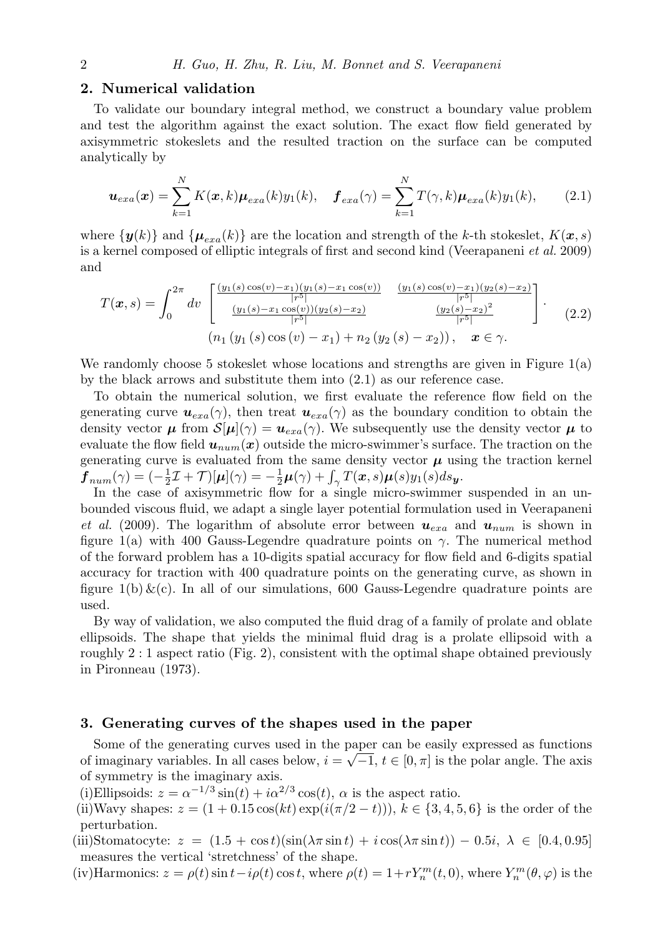### 2. Numerical validation

To validate our boundary integral method, we construct a boundary value problem and test the algorithm against the exact solution. The exact flow field generated by axisymmetric stokeslets and the resulted traction on the surface can be computed analytically by

$$
\boldsymbol{u}_{exa}(\boldsymbol{x}) = \sum_{k=1}^{N} K(\boldsymbol{x}, k) \boldsymbol{\mu}_{exa}(k) y_1(k), \quad \boldsymbol{f}_{exa}(\gamma) = \sum_{k=1}^{N} T(\gamma, k) \boldsymbol{\mu}_{exa}(k) y_1(k), \qquad (2.1)
$$

where  $\{y(k)\}\$  and  $\{\mu_{exa}(k)\}\$ are the location and strength of the k-th stokeslet,  $K(\mathbf{x},s)$ is a kernel composed of elliptic integrals of first and second kind (Veerapaneni et al. 2009) and

$$
T(\boldsymbol{x},s) = \int_0^{2\pi} dv \begin{bmatrix} \frac{(y_1(s)\cos(v) - x_1)(y_1(s) - x_1\cos(v))}{|r^5|} & \frac{(y_1(s)\cos(v) - x_1)(y_2(s) - x_2)}{|r^5|} \\ \frac{(y_1(s) - x_1\cos(v))(y_2(s) - x_2)}{|r^5|} & \frac{(y_2(s) - x_2)^2}{|r^5|} \end{bmatrix} . \tag{2.2}
$$
  
\n
$$
(n_1 (y_1(s)\cos(v) - x_1) + n_2 (y_2(s) - x_2)), \quad \boldsymbol{x} \in \gamma.
$$

We randomly choose 5 stokeslet whose locations and strengths are given in Figure  $1(a)$ by the black arrows and substitute them into (2.1) as our reference case.

To obtain the numerical solution, we first evaluate the reference flow field on the generating curve  $u_{exa}(\gamma)$ , then treat  $u_{exa}(\gamma)$  as the boundary condition to obtain the density vector  $\mu$  from  $\mathcal{S}[\mu](\gamma) = u_{exa}(\gamma)$ . We subsequently use the density vector  $\mu$  to evaluate the flow field  $u_{num}(x)$  outside the micro-swimmer's surface. The traction on the generating curve is evaluated from the same density vector  $\mu$  using the traction kernel  $\boldsymbol{f}_{num}(\gamma)=(-\tfrac{1}{2}\mathcal{I}+\mathcal{T})[\boldsymbol{\mu}](\gamma)=-\tfrac{1}{2}\boldsymbol{\mu}(\gamma)+\int_{\gamma}T(\boldsymbol{x},s)\boldsymbol{\mu}(s)y_1(s)ds_{\boldsymbol{y}}.$ 

In the case of axisymmetric flow for a single micro-swimmer suspended in an unbounded viscous fluid, we adapt a single layer potential formulation used in Veerapaneni et al. (2009). The logarithm of absolute error between  $u_{exa}$  and  $u_{num}$  is shown in figure 1(a) with 400 Gauss-Legendre quadrature points on  $\gamma$ . The numerical method of the forward problem has a 10-digits spatial accuracy for flow field and 6-digits spatial accuracy for traction with 400 quadrature points on the generating curve, as shown in figure  $1(b) \&c)$ . In all of our simulations, 600 Gauss-Legendre quadrature points are used.

By way of validation, we also computed the fluid drag of a family of prolate and oblate ellipsoids. The shape that yields the minimal fluid drag is a prolate ellipsoid with a roughly 2 : 1 aspect ratio (Fig. 2), consistent with the optimal shape obtained previously in Pironneau (1973).

#### 3. Generating curves of the shapes used in the paper

Some of the generating curves used in the paper can be easily expressed as functions of imaginary variables. In all cases below,  $i = \sqrt{-1}$ ,  $t \in [0, \pi]$  is the polar angle. The axis of symmetry is the imaginary axis.

(i)Ellipsoids:  $z = \alpha^{-1/3} \sin(t) + i \alpha^{2/3} \cos(t)$ ,  $\alpha$  is the aspect ratio.

(ii)Wavy shapes:  $z = (1 + 0.15 \cos(kt) \exp(i(\pi/2 - t)))$ ,  $k \in \{3, 4, 5, 6\}$  is the order of the perturbation.

(iii)Stomatocyte:  $z = (1.5 + \cos t)(\sin(\lambda \pi \sin t) + i \cos(\lambda \pi \sin t)) - 0.5i, \lambda \in [0.4, 0.95]$ measures the vertical 'stretchness' of the shape.

(iv)Harmonics:  $z = \rho(t) \sin t - i\rho(t) \cos t$ , where  $\rho(t) = 1 + rY_n^m(t, 0)$ , where  $Y_n^m(\theta, \varphi)$  is the